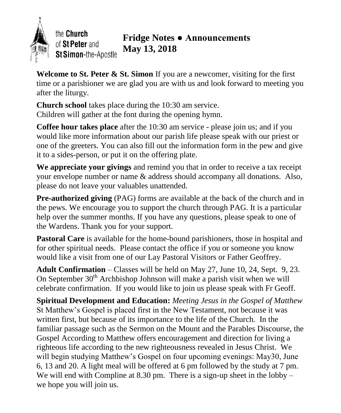

## **Fridge Notes ● Announcements** of St Peter and **May 13, 2018** St Simon-the-Apostle

**Welcome to St. Peter & St. Simon** If you are a newcomer, visiting for the first time or a parishioner we are glad you are with us and look forward to meeting you after the liturgy.

**Church school** takes place during the 10:30 am service. Children will gather at the font during the opening hymn.

**Coffee hour takes place** after the 10:30 am service - please join us; and if you would like more information about our parish life please speak with our priest or one of the greeters. You can also fill out the information form in the pew and give it to a sides-person, or put it on the offering plate.

**We appreciate your givings** and remind you that in order to receive a tax receipt your envelope number or name & address should accompany all donations. Also, please do not leave your valuables unattended.

**Pre-authorized giving** (PAG) forms are available at the back of the church and in the pews. We encourage you to support the church through PAG. It is a particular help over the summer months. If you have any questions, please speak to one of the Wardens. Thank you for your support.

Pastoral Care is available for the home-bound parishioners, those in hospital and for other spiritual needs. Please contact the office if you or someone you know would like a visit from one of our Lay Pastoral Visitors or Father Geoffrey.

**Adult Confirmation** – Classes will be held on May 27, June 10, 24, Sept. 9, 23. On September  $30<sup>th</sup>$  Archbishop Johnson will make a parish visit when we will celebrate confirmation. If you would like to join us please speak with Fr Geoff.

**Spiritual Development and Education:** *Meeting Jesus in the Gospel of Matthew* St Matthew's Gospel is placed first in the New Testament, not because it was written first, but because of its importance to the life of the Church. In the familiar passage such as the Sermon on the Mount and the Parables Discourse, the Gospel According to Matthew offers encouragement and direction for living a righteous life according to the new righteousness revealed in Jesus Christ. We will begin studying Matthew's Gospel on four upcoming evenings: May30, June 6, 13 and 20. A light meal will be offered at 6 pm followed by the study at 7 pm. We will end with Compline at  $8.30 \text{ pm}$ . There is a sign-up sheet in the lobby – we hope you will join us.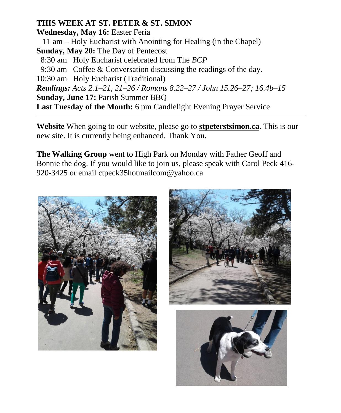## **THIS WEEK AT ST. PETER & ST. SIMON**

**Wednesday, May 16:** Easter Feria 11 am – Holy Eucharist with Anointing for Healing (in the Chapel) **Sunday, May 20:** The Day of Pentecost 8:30 am Holy Eucharist celebrated from The *BCP* 9:30 am Coffee & Conversation discussing the readings of the day. 10:30 am Holy Eucharist (Traditional) *Readings: Acts 2.1–21, 21–26 / Romans 8.22–27 / John 15.26–27; 16.4b–15* **Sunday, June 17:** Parish Summer BBQ **Last Tuesday of the Month:** 6 pm Candlelight Evening Prayer Service

**Website** When going to our website, please go to **stpeterstsimon.ca**. This is our new site. It is currently being enhanced. Thank You.

**The Walking Group** went to High Park on Monday with Father Geoff and Bonnie the dog. If you would like to join us, please speak with Carol Peck 416- 920-3425 or email ctpeck35hotmailcom@yahoo.ca





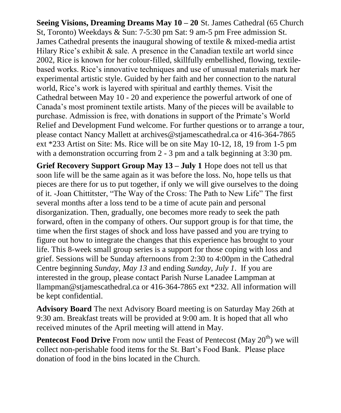**Seeing Visions, Dreaming Dreams May 10 – 20** St. James Cathedral (65 Church St, Toronto) Weekdays & Sun: 7-5:30 pm Sat: 9 am-5 pm Free admission St. James Cathedral presents the inaugural showing of textile & mixed-media artist Hilary Rice's exhibit  $\&$  sale. A presence in the Canadian textile art world since 2002, Rice is known for her colour-filled, skillfully embellished, flowing, textilebased works. Rice's innovative techniques and use of unusual materials mark her experimental artistic style. Guided by her faith and her connection to the natural world, Rice's work is layered with spiritual and earthly themes. Visit the Cathedral between May 10 - 20 and experience the powerful artwork of one of Canada's most prominent textile artists. Many of the pieces will be available to purchase. Admission is free, with donations in support of the Primate's World Relief and Development Fund welcome. For further questions or to arrange a tour, please contact Nancy Mallett at archives@stjamescathedral.ca or 416-364-7865 ext \*233 Artist on Site: Ms. Rice will be on site May 10-12, 18, 19 from 1-5 pm with a demonstration occurring from 2 - 3 pm and a talk beginning at 3:30 pm.

**Grief Recovery Support Group May 13 – July 1** Hope does not tell us that soon life will be the same again as it was before the loss. No, hope tells us that pieces are there for us to put together, if only we will give ourselves to the doing of it. -Joan Chittitster, "The Way of the Cross: The Path to New Life" The first several months after a loss tend to be a time of acute pain and personal disorganization. Then, gradually, one becomes more ready to seek the path forward, often in the company of others. Our support group is for that time, the time when the first stages of shock and loss have passed and you are trying to figure out how to integrate the changes that this experience has brought to your life. This 8-week small group series is a support for those coping with loss and grief. Sessions will be Sunday afternoons from 2:30 to 4:00pm in the Cathedral Centre beginning *Sunday, May 13* and ending *Sunday, July 1*. If you are interested in the group, please contact Parish Nurse Lanadee Lampman at llampman@stjamescathedral.ca or 416-364-7865 ext \*232. All information will be kept confidential.

**Advisory Board** The next Advisory Board meeting is on Saturday May 26th at 9:30 am. Breakfast treats will be provided at 9:00 am. It is hoped that all who received minutes of the April meeting will attend in May.

**Pentecost Food Drive** From now until the Feast of Pentecost (May 20<sup>th</sup>) we will collect non-perishable food items for the St. Bart's Food Bank. Please place donation of food in the bins located in the Church.